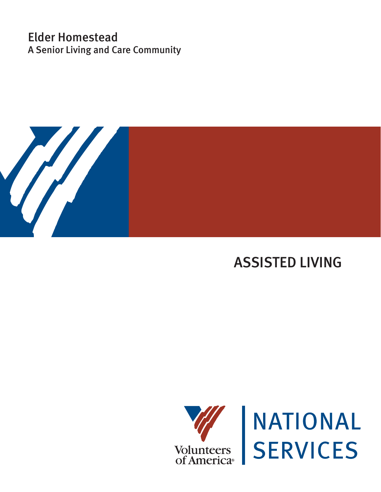# Elder Homestead A Senior Living and Care Community



# ASSISTED LIVING



INATIONAL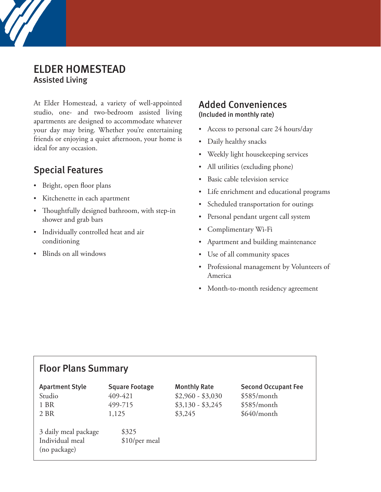### ELDER HOMESTEAD Assisted Living

At Elder Homestead, a variety of well-appointed studio, one- and two-bedroom assisted living apartments are designed to accommodate whatever your day may bring. Whether you're entertaining friends or enjoying a quiet afternoon, your home is ideal for any occasion.

### Special Features

- Bright, open floor plans
- Kitchenette in each apartment
- Thoughtfully designed bathroom, with step-in shower and grab bars
- Individually controlled heat and air conditioning
- Blinds on all windows

### Added Conveniences

(Included in monthly rate)

- Access to personal care 24 hours/day
- Daily healthy snacks
- Weekly light housekeeping services
- All utilities (excluding phone)
- Basic cable television service
- Life enrichment and educational programs
- Scheduled transportation for outings
- Personal pendant urgent call system
- Complimentary Wi-Fi
- Apartment and building maintenance
- Use of all community spaces
- Professional management by Volunteers of America
- Month-to-month residency agreement

### Floor Plans Summary

| <b>Apartment Style</b>                                  | <b>Square Footage</b>  | <b>Monthly Rate</b> | <b>Second Occupant Fee</b> |
|---------------------------------------------------------|------------------------|---------------------|----------------------------|
| Studio                                                  | 409-421                | $$2,960 - $3,030$   | \$585/month                |
| 1 BR                                                    | 499-715                | $$3,130 - $3,245$   | \$585/month                |
| 2 BR                                                    | 1,125                  | \$3,245             | $$640/m$ onth              |
| 3 daily meal package<br>Individual meal<br>(no package) | \$325<br>\$10/per meal |                     |                            |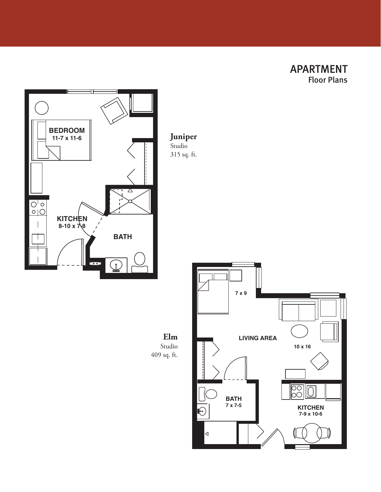APARTMENT Floor Plans



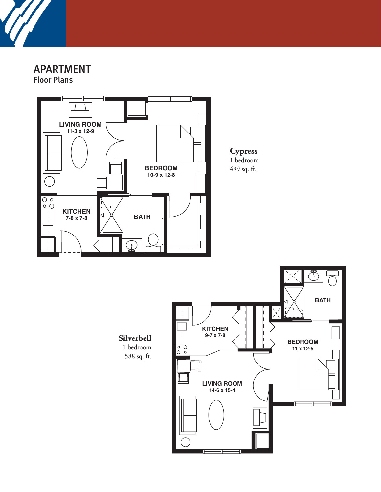

APARTMENT

Floor Plans

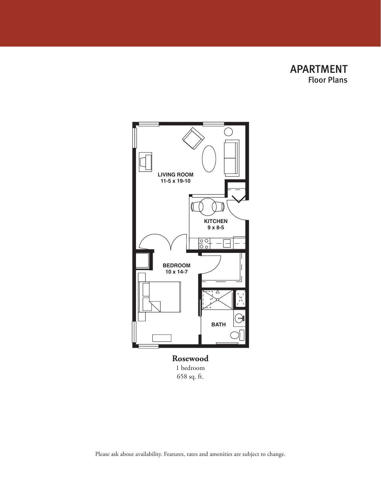



**Rosewood** 1 bedroom 658 sq. ft.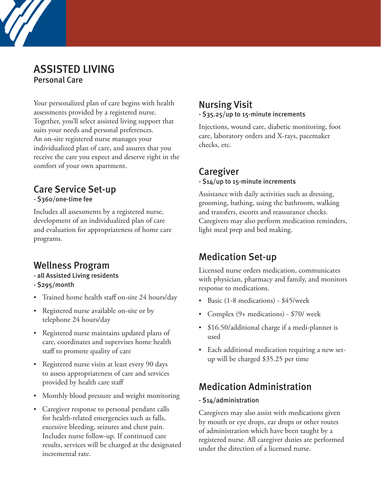### ASSISTED LIVING Personal Care

Your personalized plan of care begins with health assessments provided by a registered nurse. Together, you'll select assisted living support that suits your needs and personal preferences. An on-site registered nurse manages your individualized plan of care, and assures that you receive the care you expect and deserve right in the comfort of your own apartment.

## Care Service Set-up

- \$360/one-time fee

Includes all assessments by a registered nurse, development of an individualized plan of care and evaluation for appropriateness of home care programs.

### Wellness Program

- all Assisted Living residents
- \$295/month
- Trained home health staff on-site 24 hours/day
- Registered nurse available on-site or by telephone 24 hours/day
- Registered nurse maintains updated plans of care, coordinates and supervises home health staff to promote quality of care
- Registered nurse visits at least every 90 days to assess appropriateness of care and services provided by health care staff
- Monthly blood pressure and weight monitoring
- Caregiver response to personal pendant calls for health-related emergencies such as falls, excessive bleeding, seizures and chest pain. Includes nurse follow-up. If continued care results, services will be charged at the designated incremental rate.

#### Nursing Visit - \$35.25/up to 15-minute increments

Injections, wound care, diabetic monitoring, foot care, laboratory orders and X-rays, pacemaker checks, etc.

### Caregiver

#### - \$14/up to 15-minute increments

Assistance with daily activities such as dressing, grooming, bathing, using the bathroom, walking and transfers, escorts and reassurance checks. Caregivers may also perform medication reminders, light meal prep and bed making.

### Medication Set-up

Licensed nurse orders medication, communicates with physician, pharmacy and family, and monitors response to medications.

- Basic (1-8 medications) \$45/week
- Complex (9+ medications) \$70/ week
- \$16.50/additional charge if a medi-planner is used
- Each additional medication requiring a new setup will be charged \$35.25 per time

# Medication Administration

#### - \$14/administration

Caregivers may also assist with medications given by mouth or eye drops, ear drops or other routes of administration which have been taught by a registered nurse. All caregiver duties are performed under the direction of a licensed nurse.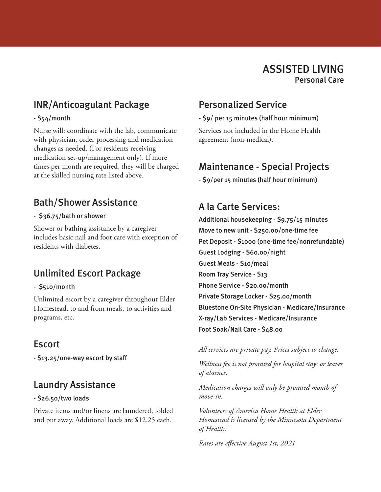## INR/Anticoagulant Package

#### - \$54/month

Nurse will: coordinate with the lab, communicate with physician, order processing and medication changes as needed. (For residents receiving medication set-up/management only). If more times per month are required, they will be charged at the skilled nursing rate listed above.

### Bath/Shower Assistance

#### - \$36.75/bath or shower

Shower or bathing assistance by a caregiver includes basic nail and foot care with exception of residents with diabetes.

# Unlimited Escort Package

#### - \$510/month

Unlimited escort by a caregiver throughout Elder Homestead, to and from meals, to activities and programs, etc.

### **Escort**

- \$13.25/one-way escort by staff

### Laundry Assistance

#### - \$26.50/two loads

Private items and/or linens are laundered, folded and put away. Additional loads are \$12.25 each.

### Personalized Service

- \$9/ per 15 minutes (half hour minimum) Services not included in the Home Health agreement (non-medical).

## Maintenance - Special Projects

- \$9/per 15 minutes (half hour minimum)

### A la Carte Services:

Additional housekeeping - \$9.75/15 minutes Move to new unit - \$250.00/one-time fee Pet Deposit - \$1000 (one-time fee/nonrefundable) Guest Lodging - \$60.00/night Guest Meals - \$10/meal Room Tray Service - \$13 Phone Service - \$20.00/month Private Storage Locker - \$25.00/month Bluestone On-Site Physician - Medicare/Insurance X-ray/Lab Services - Medicare/Insurance Foot Soak/Nail Care - \$48.00

*All services are private pay. Prices subject to change.* 

*Wellness fee is not prorated for hospital stays or leaves of absence.* 

*Medication charges will only be prorated month of move-in.*

*Volunteers of America Home Health at Elder Homestead is licensed by the Minnesota Department of Health.*

*Rates are effective August 1st, 2021.*